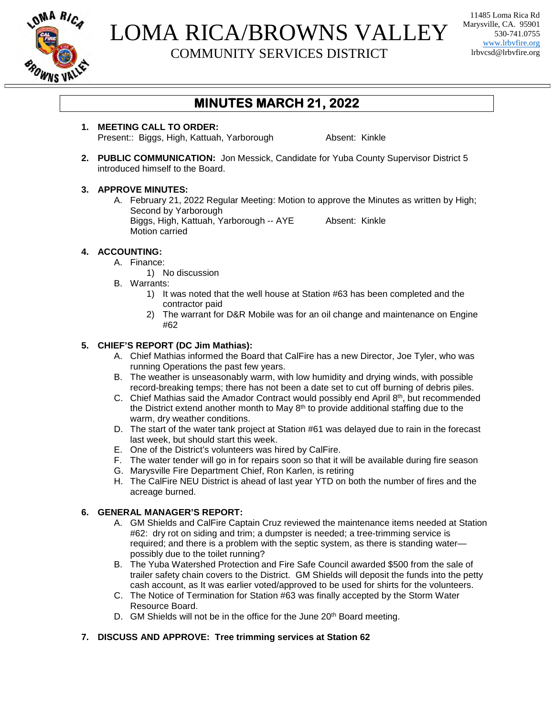

## LOMA RICA/BROWNS VALLEY COMMUNITY SERVICES DISTRICT

11485 Loma Rica Rd Marysville, CA. 95901 530-741.0755 www.lrbvfire.org lrbvcsd@lrbvfire.org

### **MINUTES MARCH 21, 2022**

**1. MEETING CALL TO ORDER:** Present:: Biggs, High, Kattuah, Yarborough Absent: Kinkle

**2. PUBLIC COMMUNICATION:** Jon Messick, Candidate for Yuba County Supervisor District 5 introduced himself to the Board.

#### **3. APPROVE MINUTES:**

A. February 21, 2022 Regular Meeting: Motion to approve the Minutes as written by High; Second by Yarborough Biggs, High, Kattuah, Yarborough -- AYE Absent: Kinkle Motion carried

#### **4. ACCOUNTING:**

- A. Finance:
	- 1) No discussion
- B. Warrants:
	- 1) It was noted that the well house at Station #63 has been completed and the contractor paid
	- 2) The warrant for D&R Mobile was for an oil change and maintenance on Engine #62

#### **5. CHIEF'S REPORT (DC Jim Mathias):**

- A. Chief Mathias informed the Board that CalFire has a new Director, Joe Tyler, who was running Operations the past few years.
- B. The weather is unseasonably warm, with low humidity and drying winds, with possible record-breaking temps; there has not been a date set to cut off burning of debris piles.
- C. Chief Mathias said the Amador Contract would possibly end April 8<sup>th</sup>, but recommended the District extend another month to May 8<sup>th</sup> to provide additional staffing due to the warm, dry weather conditions.
- D. The start of the water tank project at Station #61 was delayed due to rain in the forecast last week, but should start this week.
- E. One of the District's volunteers was hired by CalFire.
- F. The water tender will go in for repairs soon so that it will be available during fire season
- G. Marysville Fire Department Chief, Ron Karlen, is retiring
- H. The CalFire NEU District is ahead of last year YTD on both the number of fires and the acreage burned.

#### **6. GENERAL MANAGER'S REPORT:**

- A. GM Shields and CalFire Captain Cruz reviewed the maintenance items needed at Station #62: dry rot on siding and trim; a dumpster is needed; a tree-trimming service is required; and there is a problem with the septic system, as there is standing water possibly due to the toilet running?
- B. The Yuba Watershed Protection and Fire Safe Council awarded \$500 from the sale of trailer safety chain covers to the District. GM Shields will deposit the funds into the petty cash account, as It was earlier voted/approved to be used for shirts for the volunteers.
- C. The Notice of Termination for Station #63 was finally accepted by the Storm Water Resource Board.
- D. GM Shields will not be in the office for the June 20<sup>th</sup> Board meeting.

#### **7. DISCUSS AND APPROVE: Tree trimming services at Station 62**